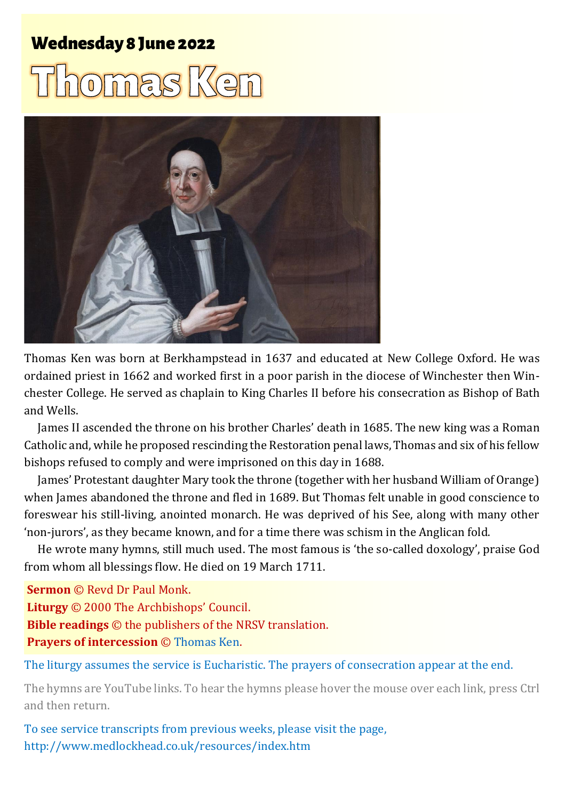# **Wednesday 8 June 2022**

# homas Ken



Thomas Ken was born at Berkhampstead in 1637 and educated at New College Oxford. He was ordained priest in 1662 and worked first in a poor parish in the diocese of Winchester then Winchester College. He served as chaplain to King Charles II before his consecration as Bishop of Bath and Wells.

James II ascended the throne on his brother Charles' death in 1685. The new king was a Roman Catholic and, while he proposed rescinding the Restoration penal laws, Thomas and six of his fellow bishops refused to comply and were imprisoned on this day in 1688.

James' Protestant daughter Mary took the throne (together with her husband William of Orange) when James abandoned the throne and fled in 1689. But Thomas felt unable in good conscience to foreswear his still-living, anointed monarch. He was deprived of his See, along with many other 'non-jurors', as they became known, and for a time there was schism in the Anglican fold.

He wrote many hymns, still much used. The most famous is 'the so-called doxology', praise God from whom all blessings flow. He died on 19 March 1711.

**Sermon** © Revd Dr Paul Monk. **Liturgy** © 2000 The Archbishops' Council. **Bible readings** © the publishers of the NRSV translation. **Prayers of intercession** © [Thomas Ken.](https://acollectionofprayers.com/tag/thomas-ken/)

The liturgy assumes the service is Eucharistic. The prayers of consecration appear at the end.

The hymns are YouTube links. To hear the hymns please hover the mouse over each link, press Ctrl and then return.

To see service transcripts from previous weeks, please visit the page, <http://www.medlockhead.co.uk/resources/index.htm>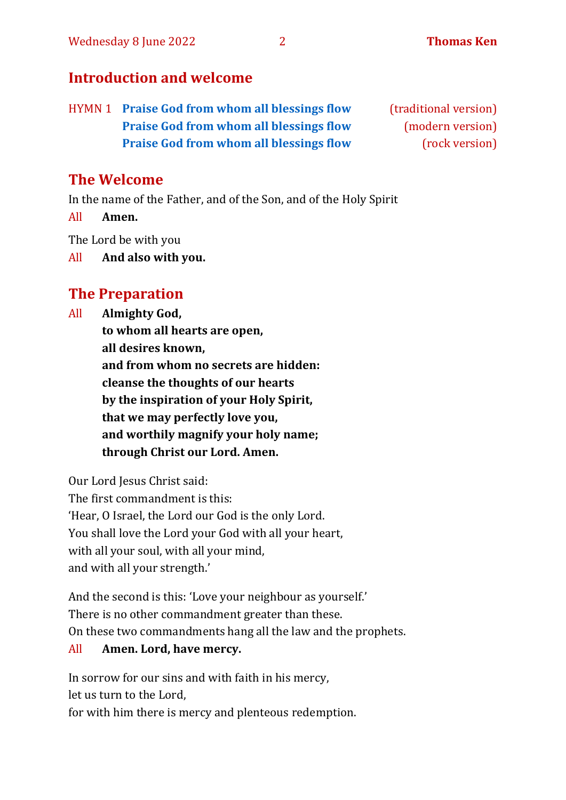#### **Introduction and welcome**

HYMN 1 **[Praise God from whom all blessings flow](https://www.youtube.com/watch?v=V8TkUuKIh84)** (traditional version) **[Praise God from whom all blessings flow](https://www.youtube.com/watch?v=RBz7vuJ2b1A&t=31s)** (modern version) **[Praise God from whom all blessings flow](https://www.youtube.com/watch?v=MsCRZiKbaqM)** (rock version)

# **The Welcome**

In the name of the Father, and of the Son, and of the Holy Spirit

All **Amen.**

The Lord be with you

All **And also with you.**

# **The Preparation**

All **Almighty God, to whom all hearts are open, all desires known, and from whom no secrets are hidden: cleanse the thoughts of our hearts by the inspiration of your Holy Spirit, that we may perfectly love you, and worthily magnify your holy name; through Christ our Lord. Amen.**

Our Lord Jesus Christ said: The first commandment is this: 'Hear, O Israel, the Lord our God is the only Lord. You shall love the Lord your God with all your heart, with all your soul, with all your mind, and with all your strength.'

And the second is this: 'Love your neighbour as yourself.' There is no other commandment greater than these. On these two commandments hang all the law and the prophets.

#### All **Amen. Lord, have mercy.**

In sorrow for our sins and with faith in his mercy, let us turn to the Lord,

for with him there is mercy and plenteous redemption.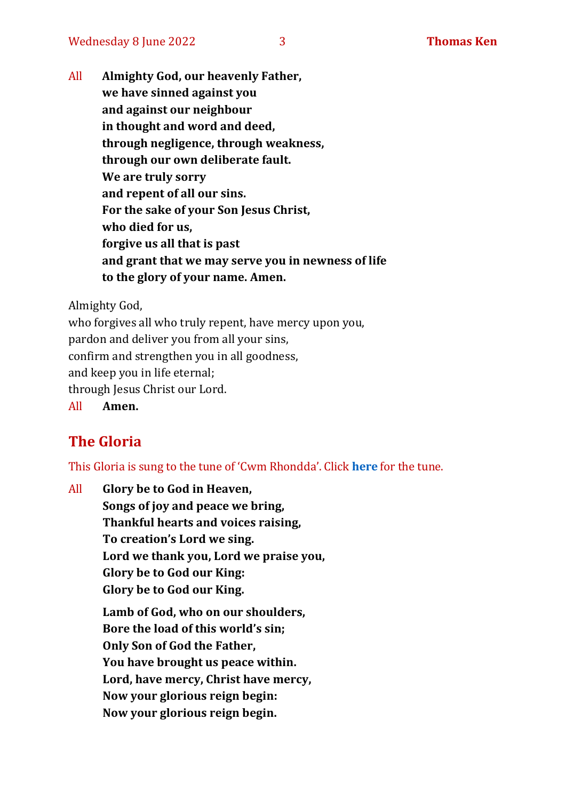All **Almighty God, our heavenly Father, we have sinned against you and against our neighbour in thought and word and deed, through negligence, through weakness, through our own deliberate fault. We are truly sorry and repent of all our sins. For the sake of your Son Jesus Christ, who died for us, forgive us all that is past and grant that we may serve you in newness of life to the glory of your name. Amen.**

Almighty God,

who forgives all who truly repent, have mercy upon you, pardon and deliver you from all your sins, confirm and strengthen you in all goodness, and keep you in life eternal; through Jesus Christ our Lord. All **Amen.**

# **The Gloria**

This Gloria is sung to the tune of 'Cwm Rhondda'. Click **[here](https://www.youtube.com/watch?v=l71MLQ22dIk)** for the tune.

All **Glory be to God in Heaven, Songs of joy and peace we bring, Thankful hearts and voices raising, To creation's Lord we sing. Lord we thank you, Lord we praise you, Glory be to God our King: Glory be to God our King. Lamb of God, who on our shoulders, Bore the load of this world's sin; Only Son of God the Father, You have brought us peace within. Lord, have mercy, Christ have mercy, Now your glorious reign begin: Now your glorious reign begin.**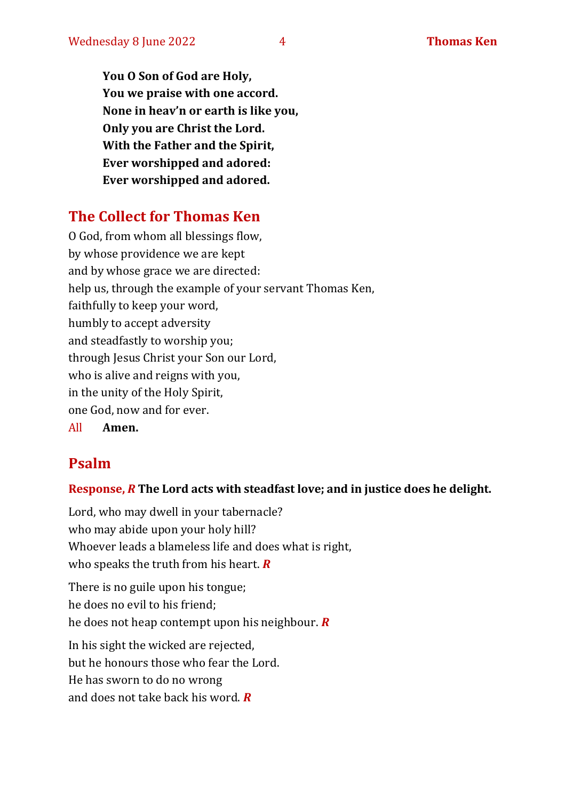**You O Son of God are Holy, You we praise with one accord. None in heav'n or earth is like you, Only you are Christ the Lord. With the Father and the Spirit, Ever worshipped and adored: Ever worshipped and adored.**

# **The Collect for Thomas Ken**

O God, from whom all blessings flow, by whose providence we are kept and by whose grace we are directed: help us, through the example of your servant Thomas Ken, faithfully to keep your word, humbly to accept adversity and steadfastly to worship you; through Jesus Christ your Son our Lord, who is alive and reigns with you, in the unity of the Holy Spirit, one God, now and for ever.

All **Amen.**

#### **Psalm**

#### **Response,** *R* **The Lord acts with steadfast love; and in justice does he delight.**

Lord, who may dwell in your tabernacle? who may abide upon your holy hill? Whoever leads a blameless life and does what is right, who speaks the truth from his heart. *R* There is no guile upon his tongue; he does no evil to his friend; he does not heap contempt upon his neighbour. *R* In his sight the wicked are rejected, but he honours those who fear the Lord.

He has sworn to do no wrong

and does not take back his word. *R*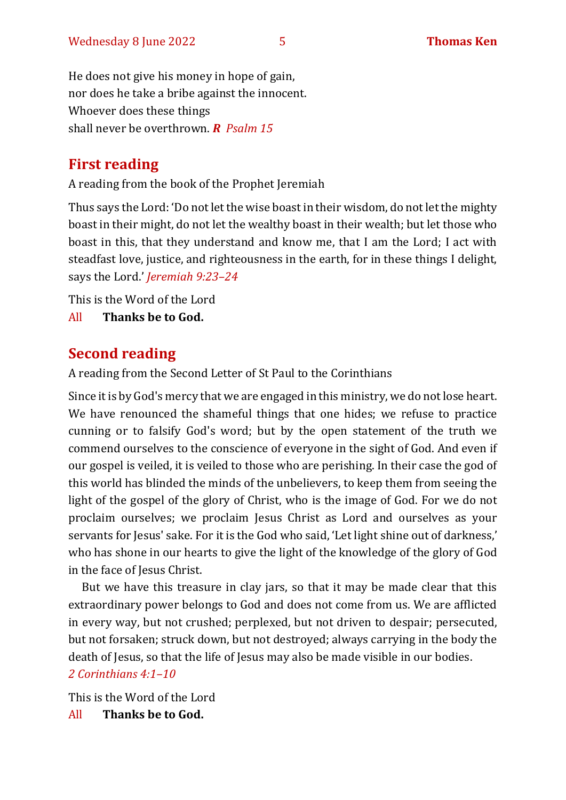He does not give his money in hope of gain, nor does he take a bribe against the innocent. Whoever does these things shall never be overthrown. *R Psalm 15*

# **First reading**

A reading from the book of the Prophet Jeremiah

Thus says the Lord: 'Do not let the wise boast in their wisdom, do not let the mighty boast in their might, do not let the wealthy boast in their wealth; but let those who boast in this, that they understand and know me, that I am the Lord; I act with steadfast love, justice, and righteousness in the earth, for in these things I delight, says the Lord.' *Jeremiah 9:23–24*

This is the Word of the Lord

All **Thanks be to God.**

# **Second reading**

A reading from the Second Letter of St Paul to the Corinthians

Since it is by God's mercy that we are engaged in this ministry, we do not lose heart. We have renounced the shameful things that one hides; we refuse to practice cunning or to falsify God's word; but by the open statement of the truth we commend ourselves to the conscience of everyone in the sight of God. And even if our gospel is veiled, it is veiled to those who are perishing. In their case the god of this world has blinded the minds of the unbelievers, to keep them from seeing the light of the gospel of the glory of Christ, who is the image of God. For we do not proclaim ourselves; we proclaim Jesus Christ as Lord and ourselves as your servants for Jesus' sake. For it is the God who said, 'Let light shine out of darkness,' who has shone in our hearts to give the light of the knowledge of the glory of God in the face of Jesus Christ.

But we have this treasure in clay jars, so that it may be made clear that this extraordinary power belongs to God and does not come from us. We are afflicted in every way, but not crushed; perplexed, but not driven to despair; persecuted, but not forsaken; struck down, but not destroyed; always carrying in the body the death of Jesus, so that the life of Jesus may also be made visible in our bodies. *2 Corinthians 4:1–10* 

This is the Word of the Lord All **Thanks be to God.**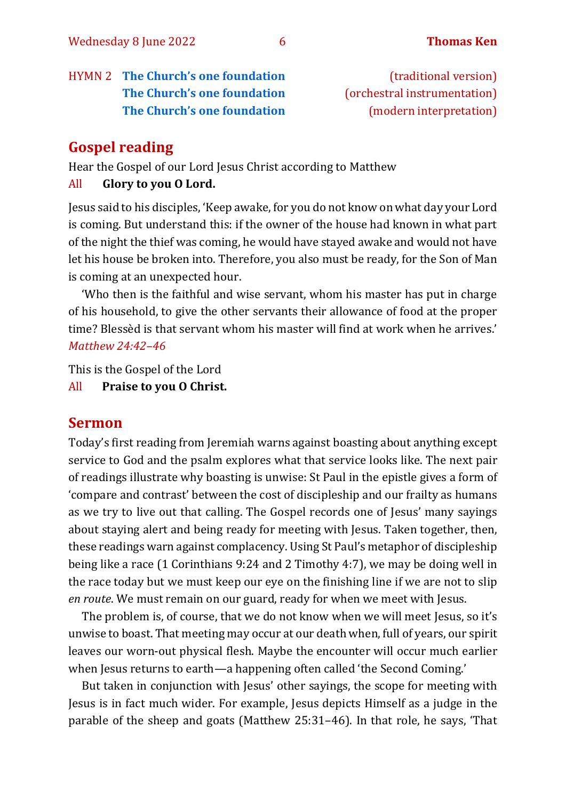|  | <b>HYMN 2 The Church's one foundation</b> |
|--|-------------------------------------------|
|  | The Church's one foundation               |
|  | The Church's one foundation               |

(traditional version) (orchestral instrumentation) (modern interpretation)

#### **Gospel reading**

Hear the Gospel of our Lord Jesus Christ according to Matthew

#### All **Glory to you O Lord.**

Jesus said to his disciples, 'Keep awake, for you do not know on what day your Lord is coming. But understand this: if the owner of the house had known in what part of the night the thief was coming, he would have stayed awake and would not have let his house be broken into. Therefore, you also must be ready, for the Son of Man is coming at an unexpected hour.

'Who then is the faithful and wise servant, whom his master has put in charge of his household, to give the other servants their allowance of food at the proper time? Blessèd is that servant whom his master will find at work when he arrives.' *Matthew 24:42–46*

This is the Gospel of the Lord

All **Praise to you O Christ.** 

#### **Sermon**

Today's first reading from Jeremiah warns against boasting about anything except service to God and the psalm explores what that service looks like. The next pair of readings illustrate why boasting is unwise: St Paul in the epistle gives a form of 'compare and contrast' between the cost of discipleship and our frailty as humans as we try to live out that calling. The Gospel records one of Jesus' many sayings about staying alert and being ready for meeting with Jesus. Taken together, then, these readings warn against complacency. Using St Paul's metaphor of discipleship being like a race (1 Corinthians 9:24 and 2 Timothy 4:7), we may be doing well in the race today but we must keep our eye on the finishing line if we are not to slip *en route*. We must remain on our guard, ready for when we meet with Jesus.

The problem is, of course, that we do not know when we will meet Jesus, so it's unwise to boast. That meeting may occur at our death when, full of years, our spirit leaves our worn-out physical flesh. Maybe the encounter will occur much earlier when Jesus returns to earth—a happening often called 'the Second Coming.'

But taken in conjunction with Jesus' other sayings, the scope for meeting with Jesus is in fact much wider. For example, Jesus depicts Himself as a judge in the parable of the sheep and goats (Matthew 25:31–46). In that role, he says, 'That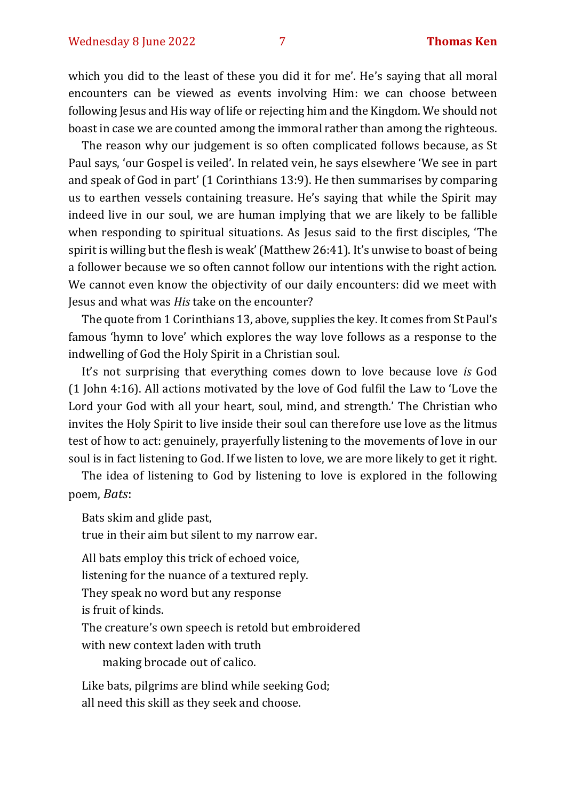which you did to the least of these you did it for me'. He's saying that all moral encounters can be viewed as events involving Him: we can choose between following Jesus and His way of life or rejecting him and the Kingdom. We should not boast in case we are counted among the immoral rather than among the righteous.

The reason why our judgement is so often complicated follows because, as St Paul says, 'our Gospel is veiled'. In related vein, he says elsewhere 'We see in part and speak of God in part' (1 Corinthians 13:9). He then summarises by comparing us to earthen vessels containing treasure. He's saying that while the Spirit may indeed live in our soul, we are human implying that we are likely to be fallible when responding to spiritual situations. As Jesus said to the first disciples, 'The spirit is willing but the flesh is weak'(Matthew 26:41). It's unwise to boast of being a follower because we so often cannot follow our intentions with the right action. We cannot even know the objectivity of our daily encounters: did we meet with Jesus and what was *His* take on the encounter?

The quote from 1 Corinthians 13, above, supplies the key. It comes from St Paul's famous 'hymn to love' which explores the way love follows as a response to the indwelling of God the Holy Spirit in a Christian soul.

It's not surprising that everything comes down to love because love *is* God (1 John 4:16). All actions motivated by the love of God fulfil the Law to 'Love the Lord your God with all your heart, soul, mind, and strength.' The Christian who invites the Holy Spirit to live inside their soul can therefore use love as the litmus test of how to act: genuinely, prayerfully listening to the movements of love in our soul is in fact listening to God. If we listen to love, we are more likely to get it right.

The idea of listening to God by listening to love is explored in the following poem, *Bats*:

Bats skim and glide past,

true in their aim but silent to my narrow ear.

All bats employ this trick of echoed voice,

listening for the nuance of a textured reply.

They speak no word but any response

is fruit of kinds.

The creature's own speech is retold but embroidered with new context laden with truth

making brocade out of calico.

Like bats, pilgrims are blind while seeking God; all need this skill as they seek and choose.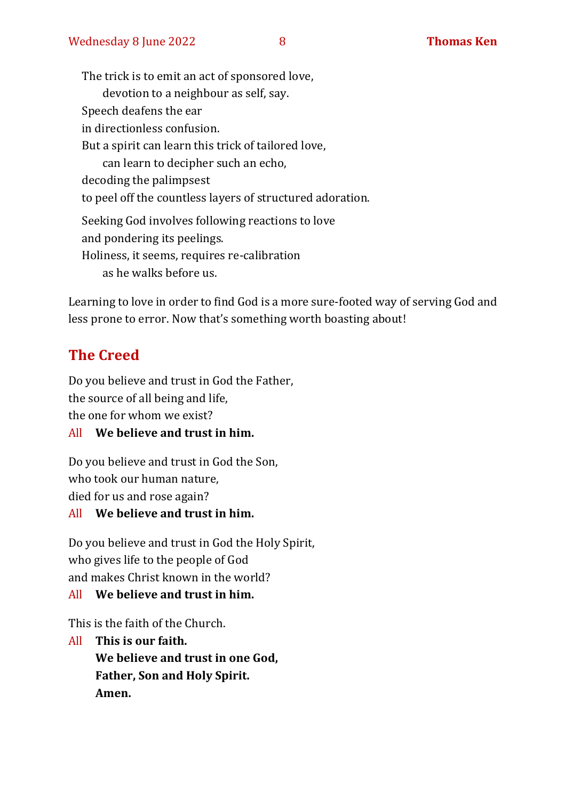The trick is to emit an act of sponsored love, devotion to a neighbour as self, say. Speech deafens the ear in directionless confusion. But a spirit can learn this trick of tailored love, can learn to decipher such an echo, decoding the palimpsest to peel off the countless layers of structured adoration. Seeking God involves following reactions to love and pondering its peelings. Holiness, it seems, requires re-calibration as he walks before us.

Learning to love in order to find God is a more sure-footed way of serving God and less prone to error. Now that's something worth boasting about!

# **The Creed**

Do you believe and trust in God the Father, the source of all being and life, the one for whom we exist? All **We believe and trust in him.**

Do you believe and trust in God the Son, who took our human nature, died for us and rose again?

All **We believe and trust in him.**

Do you believe and trust in God the Holy Spirit, who gives life to the people of God and makes Christ known in the world?

#### All **We believe and trust in him.**

This is the faith of the Church.

All **This is our faith. We believe and trust in one God, Father, Son and Holy Spirit. Amen.**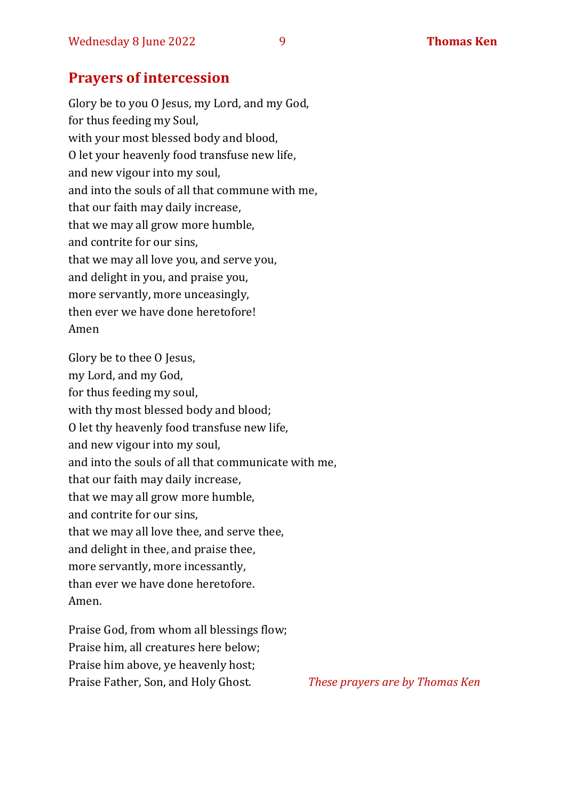# **Prayers of intercession**

Glory be to you O Jesus, my Lord, and my God, for thus feeding my Soul, with your most blessed body and blood, O let your heavenly food transfuse new life, and new vigour into my soul, and into the souls of all that commune with me, that our faith may daily increase, that we may all grow more humble, and contrite for our sins, that we may all love you, and serve you, and delight in you, and praise you, more servantly, more unceasingly, then ever we have done heretofore! Amen

Glory be to thee O Jesus, my Lord, and my God, for thus feeding my soul, with thy most blessed body and blood; O let thy heavenly food transfuse new life, and new vigour into my soul, and into the souls of all that communicate with me, that our faith may daily increase, that we may all grow more humble, and contrite for our sins, that we may all love thee, and serve thee, and delight in thee, and praise thee, more servantly, more incessantly, than ever we have done heretofore. Amen.

Praise God, from whom all blessings flow; Praise him, all creatures here below; Praise him above, ye heavenly host; Praise Father, Son, and Holy Ghost. *These prayers are by Thomas Ken*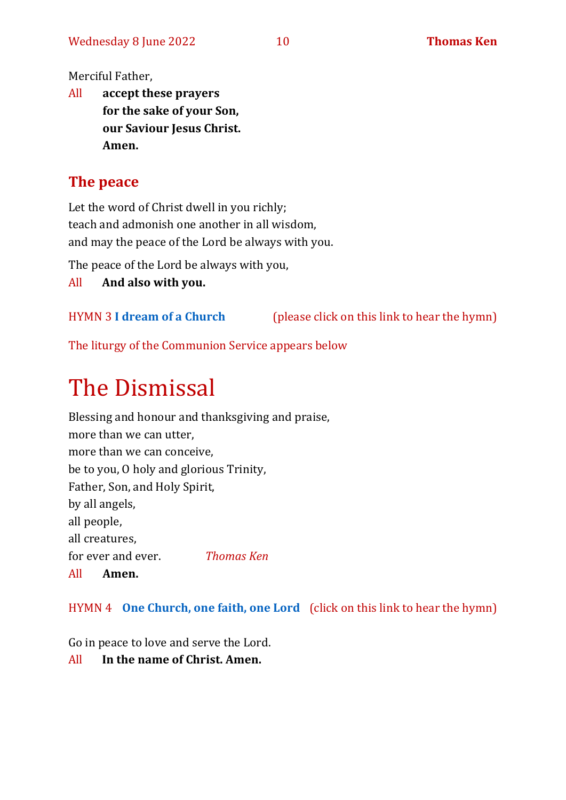Merciful Father,

All **accept these prayers for the sake of your Son, our Saviour Jesus Christ. Amen.**

# **The peace**

Let the word of Christ dwell in you richly; teach and admonish one another in all wisdom, and may the peace of the Lord be always with you.

The peace of the Lord be always with you,

All **And also with you.**

HYMN 3 **[I dream of a Church](https://www.youtube.com/watch?v=jV27COi8jLo&t=2s)** (please click on this link to hear the hymn)

The liturgy of the Communion Service appears below

# The Dismissal

Blessing and honour and thanksgiving and praise, more than we can utter, more than we can conceive, be to you, O holy and glorious Trinity, Father, Son, and Holy Spirit, by all angels, all people, all creatures, for ever and ever. *Thomas Ken* All **Amen.**

HYMN 4 **[One Church, one faith, one Lord](https://www.youtube.com/watch?v=esJ7WWqG-dI&t=28s)** (click on this link to hear the hymn)

Go in peace to love and serve the Lord.

All **In the name of Christ. Amen.**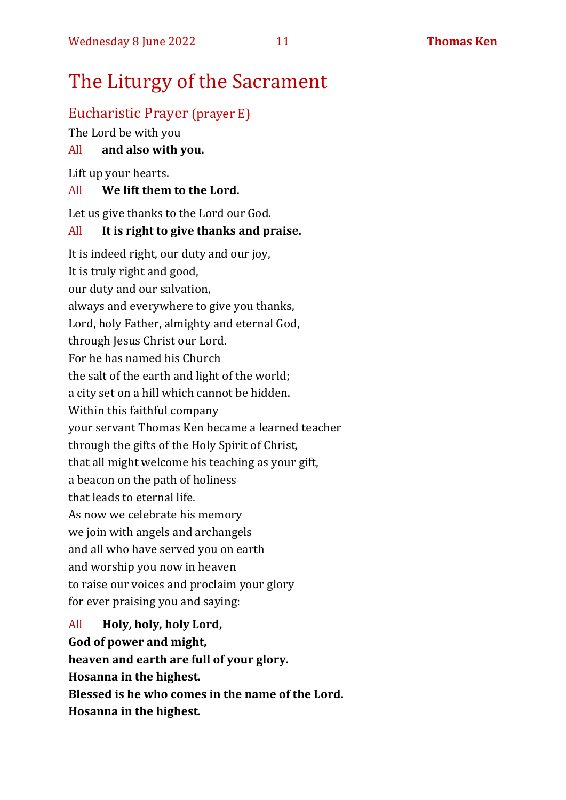# Eucharistic Prayer (prayer E)

The Lord be with you

#### All **and also with you.**

Lift up your hearts.

#### All **We lift them to the Lord.**

Let us give thanks to the Lord our God.

#### All **It is right to give thanks and praise.**

It is indeed right, our duty and our joy, It is truly right and good, our duty and our salvation, always and everywhere to give you thanks, Lord, holy Father, almighty and eternal God, through Jesus Christ our Lord. For he has named his Church the salt of the earth and light of the world; a city set on a hill which cannot be hidden. Within this faithful company your servant Thomas Ken became a learned teacher through the gifts of the Holy Spirit of Christ, that all might welcome his teaching as your gift, a beacon on the path of holiness that leads to eternal life. As now we celebrate his memory we join with angels and archangels and all who have served you on earth and worship you now in heaven to raise our voices and proclaim your glory for ever praising you and saying:

All **Holy, holy, holy Lord, God of power and might, heaven and earth are full of your glory. Hosanna in the highest. Blessed is he who comes in the name of the Lord. Hosanna in the highest.**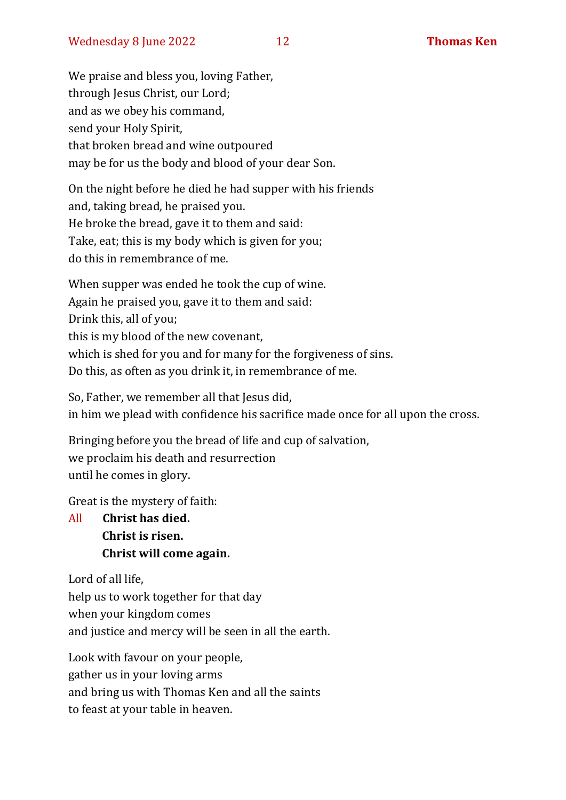We praise and bless you, loving Father, through Jesus Christ, our Lord; and as we obey his command, send your Holy Spirit, that broken bread and wine outpoured may be for us the body and blood of your dear Son.

On the night before he died he had supper with his friends and, taking bread, he praised you. He broke the bread, gave it to them and said: Take, eat; this is my body which is given for you; do this in remembrance of me.

When supper was ended he took the cup of wine. Again he praised you, gave it to them and said: Drink this, all of you; this is my blood of the new covenant, which is shed for you and for many for the forgiveness of sins. Do this, as often as you drink it, in remembrance of me.

So, Father, we remember all that Jesus did, in him we plead with confidence his sacrifice made once for all upon the cross.

Bringing before you the bread of life and cup of salvation, we proclaim his death and resurrection until he comes in glory.

Great is the mystery of faith:

All **Christ has died. Christ is risen. Christ will come again.**

Lord of all life, help us to work together for that day when your kingdom comes and justice and mercy will be seen in all the earth.

Look with favour on your people, gather us in your loving arms and bring us with Thomas Ken and all the saints to feast at your table in heaven.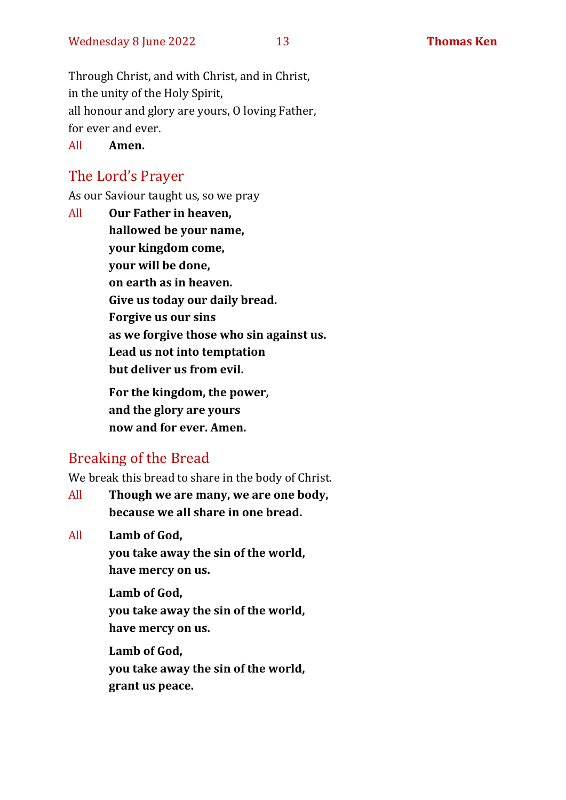Through Christ, and with Christ, and in Christ, in the unity of the Holy Spirit, all honour and glory are yours, O loving Father, for ever and ever.

All **Amen.**

# The Lord's Prayer

As our Saviour taught us, so we pray

All **Our Father in heaven, hallowed be your name, your kingdom come, your will be done, on earth as in heaven. Give us today our daily bread. Forgive us our sins as we forgive those who sin against us. Lead us not into temptation but deliver us from evil. For the kingdom, the power,** 

**and the glory are yours now and for ever. Amen.**

# Breaking of the Bread

We break this bread to share in the body of Christ.

All **Though we are many, we are one body, because we all share in one bread.**

All **Lamb of God,**

**you take away the sin of the world, have mercy on us.**

**Lamb of God, you take away the sin of the world, have mercy on us.**

**Lamb of God, you take away the sin of the world, grant us peace.**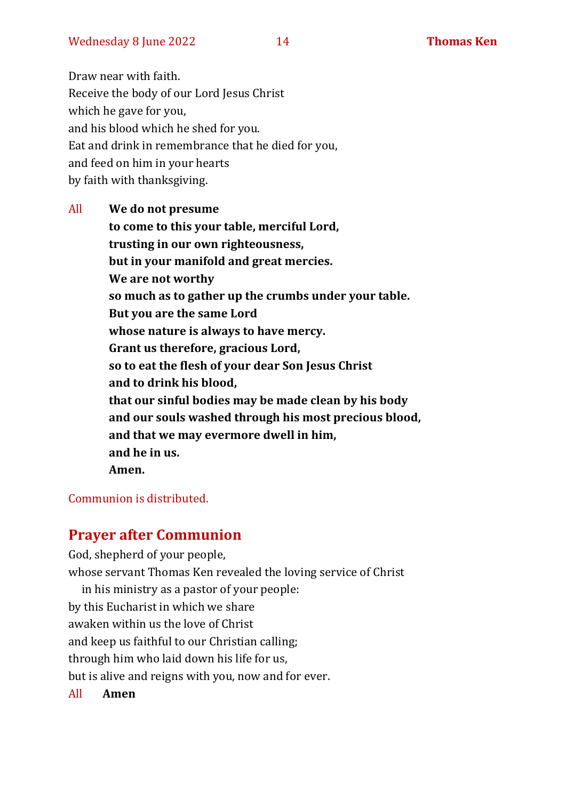Draw near with faith. Receive the body of our Lord Jesus Christ which he gave for you, and his blood which he shed for you. Eat and drink in remembrance that he died for you, and feed on him in your hearts by faith with thanksgiving.

All **We do not presume to come to this your table, merciful Lord, trusting in our own righteousness, but in your manifold and great mercies. We are not worthy so much as to gather up the crumbs under your table. But you are the same Lord whose nature is always to have mercy. Grant us therefore, gracious Lord, so to eat the flesh of your dear Son Jesus Christ and to drink his blood, that our sinful bodies may be made clean by his body and our souls washed through his most precious blood, and that we may evermore dwell in him, and he in us. Amen.**

#### Communion is distributed.

#### **Prayer after Communion**

God, shepherd of your people, whose servant Thomas Ken revealed the loving service of Christ in his ministry as a pastor of your people: by this Eucharist in which we share awaken within us the love of Christ and keep us faithful to our Christian calling; through him who laid down his life for us, but is alive and reigns with you, now and for ever. All **Amen**